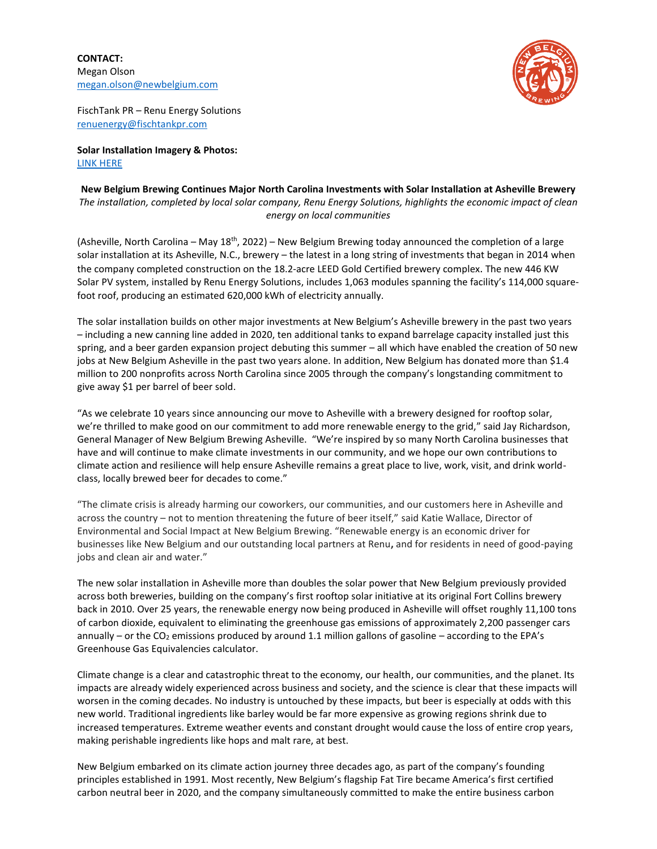**CONTACT:** Megan Olson [megan.olson@newbelgium.com](mailto:megan.olson@newbelgium.com)



FischTank PR – Renu Energy Solutions [renuenergy@fischtankpr.com](mailto:renuenergy@fischtankpr.com) 

**Solar Installation Imagery & Photos:** [LINK HERE](https://assets.newbelgium.com/share/3E32A222-4F7B-4C5B-81FDC9642907ADD0/)

**New Belgium Brewing Continues Major North Carolina Investments with Solar Installation at Asheville Brewery** *The installation, completed by local solar company, Renu Energy Solutions, highlights the economic impact of clean energy on local communities*

(Asheville, North Carolina - May 18<sup>th</sup>, 2022) - New Belgium Brewing today announced the completion of a large solar installation at its Asheville, N.C., brewery – the latest in a long string of investments that began in 2014 when the company completed construction on the 18.2-acre LEED Gold Certified brewery complex. The new 446 KW Solar PV system, installed by Renu Energy Solutions, includes 1,063 modules spanning the facility's 114,000 squarefoot roof, producing an estimated 620,000 kWh of electricity annually.

The solar installation builds on other major investments at New Belgium's Asheville brewery in the past two years – including a new canning line added in 2020, ten additional tanks to expand barrelage capacity installed just this spring, and a beer garden expansion project debuting this summer – all which have enabled the creation of 50 new jobs at New Belgium Asheville in the past two years alone. In addition, New Belgium has donated more than \$1.4 million to 200 nonprofits across North Carolina since 2005 through the company's longstanding commitment to give away \$1 per barrel of beer sold.

"As we celebrate 10 years since announcing our move to Asheville with a brewery designed for rooftop solar, we're thrilled to make good on our commitment to add more renewable energy to the grid," said Jay Richardson, General Manager of New Belgium Brewing Asheville. "We're inspired by so many North Carolina businesses that have and will continue to make climate investments in our community, and we hope our own contributions to climate action and resilience will help ensure Asheville remains a great place to live, work, visit, and drink worldclass, locally brewed beer for decades to come."

"The climate crisis is already harming our coworkers, our communities, and our customers here in Asheville and across the country – not to mention threatening the future of beer itself," said Katie Wallace, Director of Environmental and Social Impact at New Belgium Brewing. "Renewable energy is an economic driver for businesses like New Belgium and our outstanding local partners at Renu**,** and for residents in need of good-paying jobs and clean air and water."

The new solar installation in Asheville more than doubles the solar power that New Belgium previously provided across both breweries, building on the company's first rooftop solar initiative at its original Fort Collins brewery back in 2010. Over 25 years, the renewable energy now being produced in Asheville will offset roughly 11,100 tons of carbon dioxide, equivalent to eliminating the greenhouse gas emissions of approximately 2,200 passenger cars annually – or the CO<sub>2</sub> emissions produced by around 1.1 million gallons of gasoline – according to the EPA's Greenhouse Gas Equivalencies calculator.

Climate change is a clear and catastrophic threat to the economy, our health, our communities, and the planet. Its impacts are already widely experienced across business and society, and the science is clear that these impacts will worsen in the coming decades. No industry is untouched by these impacts, but beer is especially at odds with this new world. Traditional ingredients like barley would be far more expensive as growing regions shrink due to increased temperatures. Extreme weather events and constant drought would cause the loss of entire crop years, making perishable ingredients like hops and malt rare, at best.

New Belgium embarked on its climate action journey three decades ago, as part of the company's founding principles established in 1991. Most recently, New Belgium's flagship Fat Tire became America's first certified carbon neutral beer in 2020, and the company simultaneously committed to make the entire business carbon